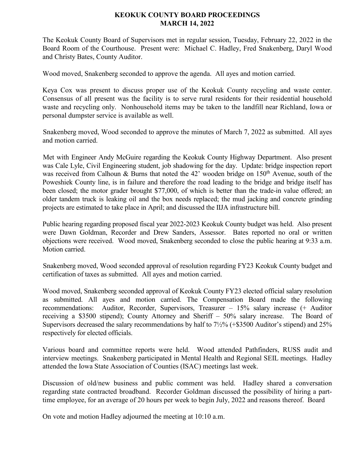## **KEOKUK COUNTY BOARD PROCEEDINGS MARCH 14, 2022**

The Keokuk County Board of Supervisors met in regular session, Tuesday, February 22, 2022 in the Board Room of the Courthouse. Present were: Michael C. Hadley, Fred Snakenberg, Daryl Wood and Christy Bates, County Auditor.

Wood moved, Snakenberg seconded to approve the agenda. All ayes and motion carried.

Keya Cox was present to discuss proper use of the Keokuk County recycling and waste center. Consensus of all present was the facility is to serve rural residents for their residential household waste and recycling only. Nonhousehold items may be taken to the landfill near Richland, Iowa or personal dumpster service is available as well.

Snakenberg moved, Wood seconded to approve the minutes of March 7, 2022 as submitted. All ayes and motion carried.

Met with Engineer Andy McGuire regarding the Keokuk County Highway Department. Also present was Cale Lyle, Civil Engineering student, job shadowing for the day. Update: bridge inspection report was received from Calhoun & Burns that noted the  $42'$  wooden bridge on  $150<sup>th</sup>$  Avenue, south of the Poweshiek County line, is in failure and therefore the road leading to the bridge and bridge itself has been closed; the motor grader brought \$77,000, of which is better than the trade-in value offered; an older tandem truck is leaking oil and the box needs replaced; the mud jacking and concrete grinding projects are estimated to take place in April; and discussed the IIJA infrastructure bill.

Public hearing regarding proposed fiscal year 2022-2023 Keokuk County budget was held. Also present were Dawn Goldman, Recorder and Drew Sanders, Assessor. Bates reported no oral or written objections were received. Wood moved, Snakenberg seconded to close the public hearing at 9:33 a.m. Motion carried.

Snakenberg moved, Wood seconded approval of resolution regarding FY23 Keokuk County budget and certification of taxes as submitted. All ayes and motion carried.

Wood moved, Snakenberg seconded approval of Keokuk County FY23 elected official salary resolution as submitted. All ayes and motion carried. The Compensation Board made the following recommendations: Auditor, Recorder, Supervisors, Treasurer – 15% salary increase (+ Auditor receiving a \$3500 stipend); County Attorney and Sheriff – 50% salary increase. The Board of Supervisors decreased the salary recommendations by half to 7½% (+\$3500 Auditor's stipend) and 25% respectively for elected officials.

Various board and committee reports were held. Wood attended Pathfinders, RUSS audit and interview meetings. Snakenberg participated in Mental Health and Regional SEIL meetings. Hadley attended the Iowa State Association of Counties (ISAC) meetings last week.

Discussion of old/new business and public comment was held. Hadley shared a conversation regarding state contracted broadband. Recorder Goldman discussed the possibility of hiring a parttime employee, for an average of 20 hours per week to begin July, 2022 and reasons thereof. Board

On vote and motion Hadley adjourned the meeting at 10:10 a.m.